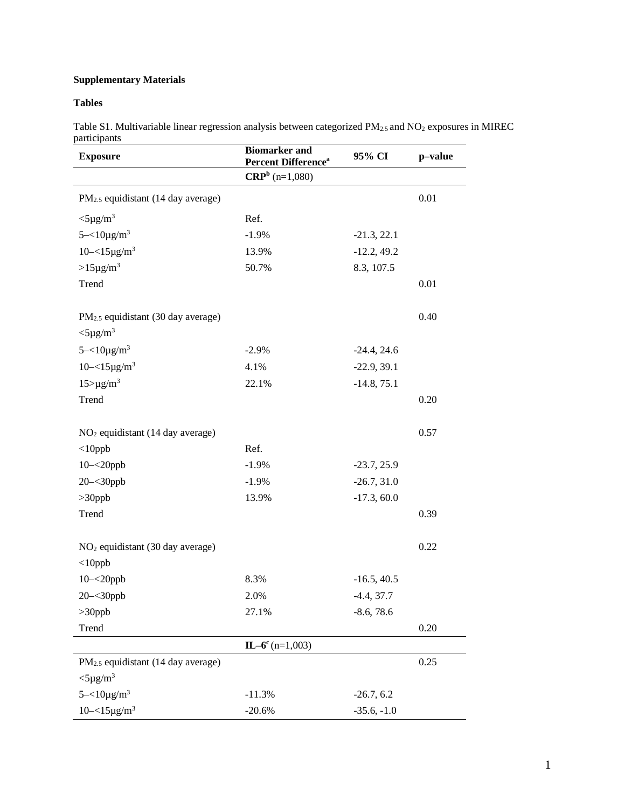## **Supplementary Materials**

## **Tables**

Table S1. Multivariable linear regression analysis between categorized PM2.5 and NO2 exposures in MIREC participants

| <b>Exposure</b>                                | <b>Biomarker</b> and<br>Percent Difference <sup>a</sup> | 95% CI        | p-value |
|------------------------------------------------|---------------------------------------------------------|---------------|---------|
|                                                | $CRPb$ (n=1,080)                                        |               |         |
| PM <sub>2.5</sub> equidistant (14 day average) |                                                         |               | 0.01    |
| $<$ 5µg/m <sup>3</sup>                         | Ref.                                                    |               |         |
| $5 - 10\mu g/m^3$                              | $-1.9%$                                                 | $-21.3, 22.1$ |         |
| $10 - 15 \mu g/m^3$                            | 13.9%                                                   | $-12.2, 49.2$ |         |
| $>15\mu g/m^3$                                 | 50.7%                                                   | 8.3, 107.5    |         |
| Trend                                          |                                                         |               | 0.01    |
| PM <sub>2.5</sub> equidistant (30 day average) |                                                         |               | 0.40    |
| $<$ 5µg/m <sup>3</sup>                         |                                                         |               |         |
| $5 - 10\mu g/m^3$                              | $-2.9%$                                                 | $-24.4, 24.6$ |         |
| $10 - 15\mu g/m^3$                             | 4.1%                                                    | $-22.9, 39.1$ |         |
| $15 > \mu g/m^3$                               | 22.1%                                                   | $-14.8, 75.1$ |         |
| Trend                                          |                                                         |               | 0.20    |
| $NO2$ equidistant (14 day average)             |                                                         |               | 0.57    |
| $<$ 10ppb                                      | Ref.                                                    |               |         |
| $10 - 20$ ppb                                  | $-1.9%$                                                 | $-23.7, 25.9$ |         |
| $20 - 30$ ppb                                  | $-1.9%$                                                 | $-26.7, 31.0$ |         |
| $>30$ ppb                                      | 13.9%                                                   | $-17.3, 60.0$ |         |
| Trend                                          |                                                         |               | 0.39    |
| NO <sub>2</sub> equidistant (30 day average)   |                                                         |               | 0.22    |
| $<$ 10ppb                                      |                                                         |               |         |
| $10 - 20$ ppb                                  | 8.3%                                                    | $-16.5, 40.5$ |         |
| 20-<30ppb                                      | 2.0%                                                    | $-4.4, 37.7$  |         |
| $>30$ ppb                                      | 27.1%                                                   | $-8.6, 78.6$  |         |
| Trend                                          |                                                         |               | 0.20    |
|                                                | $IL-6^c$ (n=1,003)                                      |               |         |
| PM <sub>2.5</sub> equidistant (14 day average) |                                                         |               | 0.25    |
| $<$ 5µg/m <sup>3</sup>                         |                                                         |               |         |
| $5 - 10\mu$ g/m <sup>3</sup>                   | $-11.3%$                                                | $-26.7, 6.2$  |         |
| $10 - 15 \mu g/m^3$                            | $-20.6%$                                                | $-35.6, -1.0$ |         |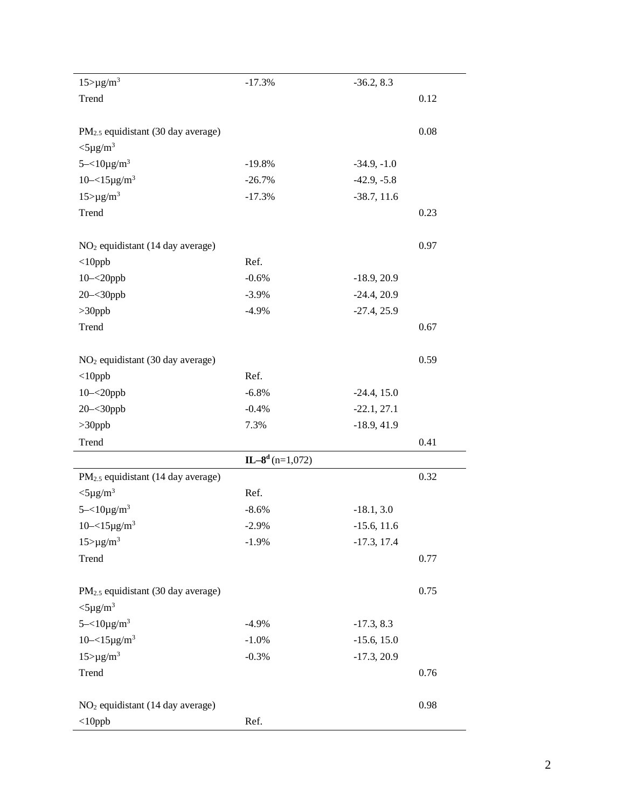| $15 > \mu g/m^3$                                                         | $-17.3%$          | $-36.2, 8.3$  |      |
|--------------------------------------------------------------------------|-------------------|---------------|------|
| Trend                                                                    |                   |               | 0.12 |
| PM <sub>2.5</sub> equidistant (30 day average)                           |                   |               | 0.08 |
| $<$ 5µg/m <sup>3</sup>                                                   |                   |               |      |
| $5 - 10\mu g/m^3$                                                        | $-19.8%$          | $-34.9, -1.0$ |      |
| $10 - 15 \mu g/m^3$                                                      | $-26.7%$          | $-42.9, -5.8$ |      |
| $15 > \mu g/m^3$                                                         | $-17.3%$          | $-38.7, 11.6$ |      |
| Trend                                                                    |                   |               | 0.23 |
| NO <sub>2</sub> equidistant (14 day average)                             |                   |               | 0.97 |
| $<$ 10ppb                                                                | Ref.              |               |      |
| $10 - 20$ ppb                                                            | $-0.6%$           | $-18.9, 20.9$ |      |
| $20 - 30$ ppb                                                            | $-3.9%$           | $-24.4, 20.9$ |      |
| $>30$ ppb                                                                | $-4.9%$           | $-27.4, 25.9$ |      |
| Trend                                                                    |                   |               | 0.67 |
| NO <sub>2</sub> equidistant (30 day average)                             |                   |               | 0.59 |
| $<$ 10ppb                                                                | Ref.              |               |      |
| $10 - 20$ ppb                                                            | $-6.8%$           | $-24.4, 15.0$ |      |
| $20 - 30$ ppb                                                            | $-0.4%$           | $-22.1, 27.1$ |      |
| $>30$ ppb                                                                | 7.3%              | $-18.9, 41.9$ |      |
| Trend                                                                    |                   |               | 0.41 |
|                                                                          | $IL-8d$ (n=1,072) |               |      |
| PM <sub>2.5</sub> equidistant (14 day average)                           |                   |               | 0.32 |
| $<$ 5µg/m <sup>3</sup>                                                   | Ref.              |               |      |
| $5 - 10\mu g/m^3$                                                        | $-8.6%$           | $-18.1, 3.0$  |      |
| $10 - 15 \mu g/m^3$                                                      | $-2.9%$           | $-15.6, 11.6$ |      |
| $15 > \mu g/m^3$                                                         | $-1.9%$           | $-17.3, 17.4$ |      |
| Trend                                                                    |                   |               | 0.77 |
| PM <sub>2.5</sub> equidistant (30 day average)<br>$<$ 5µg/m <sup>3</sup> |                   |               | 0.75 |
| $5 - 10\mu g/m^3$                                                        | $-4.9%$           | $-17.3, 8.3$  |      |
| $10 - 15 \mu g/m^3$                                                      | $-1.0%$           | $-15.6, 15.0$ |      |
| $15 > \mu g/m^3$                                                         | $-0.3%$           | $-17.3, 20.9$ |      |
| Trend                                                                    |                   |               | 0.76 |
| NO <sub>2</sub> equidistant (14 day average)                             |                   |               | 0.98 |
| $<$ 10ppb                                                                | Ref.              |               |      |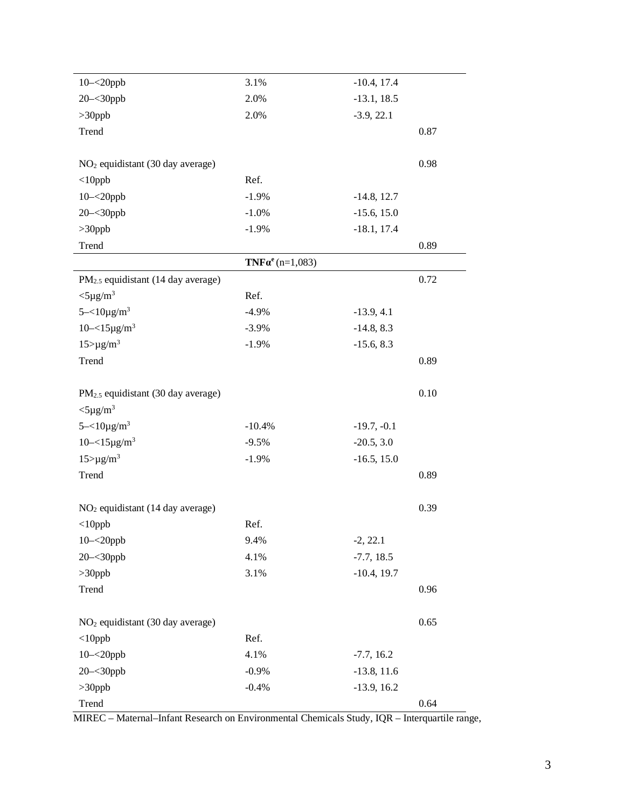| $10 - 20$ ppb                                  | 3.1%                      | $-10.4, 17.4$ |      |
|------------------------------------------------|---------------------------|---------------|------|
| $20 - 30$ ppb                                  | 2.0%                      | $-13.1, 18.5$ |      |
| $>30$ ppb                                      | 2.0%                      | $-3.9, 22.1$  |      |
| Trend                                          |                           |               | 0.87 |
|                                                |                           |               |      |
| NO <sub>2</sub> equidistant (30 day average)   |                           |               | 0.98 |
| $<$ 10ppb                                      | Ref.                      |               |      |
| $10 - 20$ ppb                                  | $-1.9%$                   | $-14.8, 12.7$ |      |
| $20 - 30$ ppb                                  | $-1.0%$                   | $-15.6, 15.0$ |      |
| $>30$ ppb                                      | $-1.9%$                   | $-18.1, 17.4$ |      |
| Trend                                          |                           |               | 0.89 |
|                                                | $TNF\alpha^{e}$ (n=1,083) |               |      |
| PM <sub>2.5</sub> equidistant (14 day average) |                           |               | 0.72 |
| $<$ 5µg/m <sup>3</sup>                         | Ref.                      |               |      |
| $5 - 10\mu g/m^3$                              | $-4.9%$                   | $-13.9, 4.1$  |      |
| $10 - 15 \mu g/m^3$                            | $-3.9%$                   | $-14.8, 8.3$  |      |
| $15 > \mu g/m^3$                               | $-1.9%$                   | $-15.6, 8.3$  |      |
| Trend                                          |                           |               | 0.89 |
|                                                |                           |               |      |
| PM <sub>2.5</sub> equidistant (30 day average) |                           |               | 0.10 |
| $<$ 5µg/m <sup>3</sup>                         |                           |               |      |
| $5 - 10\mu g/m^3$                              | $-10.4%$                  | $-19.7, -0.1$ |      |
| $10 - 15 \mu g/m^3$                            | $-9.5%$                   | $-20.5, 3.0$  |      |
| $15 > \mu g/m^3$                               | $-1.9%$                   | $-16.5, 15.0$ |      |
| Trend                                          |                           |               | 0.89 |
|                                                |                           |               |      |
| NO <sub>2</sub> equidistant (14 day average)   |                           |               | 0.39 |
| $<$ 10ppb                                      | Ref.                      |               |      |
| $10 - 20$ ppb                                  | 9.4%                      | $-2, 22.1$    |      |
| $20 - 30$ ppb                                  | 4.1%                      | $-7.7, 18.5$  |      |
| $>30$ ppb                                      | 3.1%                      | $-10.4, 19.7$ |      |
| Trend                                          |                           |               | 0.96 |
|                                                |                           |               |      |
| NO <sub>2</sub> equidistant (30 day average)   |                           |               | 0.65 |
| $<$ 10ppb                                      | Ref.                      |               |      |
| $10 - 20$ ppb                                  | 4.1%                      | $-7.7, 16.2$  |      |
| $20 - 30$ ppb                                  | $-0.9%$                   | $-13.8, 11.6$ |      |
| $>30$ ppb                                      | $-0.4%$                   | $-13.9, 16.2$ |      |
| Trend                                          |                           |               | 0.64 |

MIREC – Maternal–Infant Research on Environmental Chemicals Study, IQR – Interquartile range,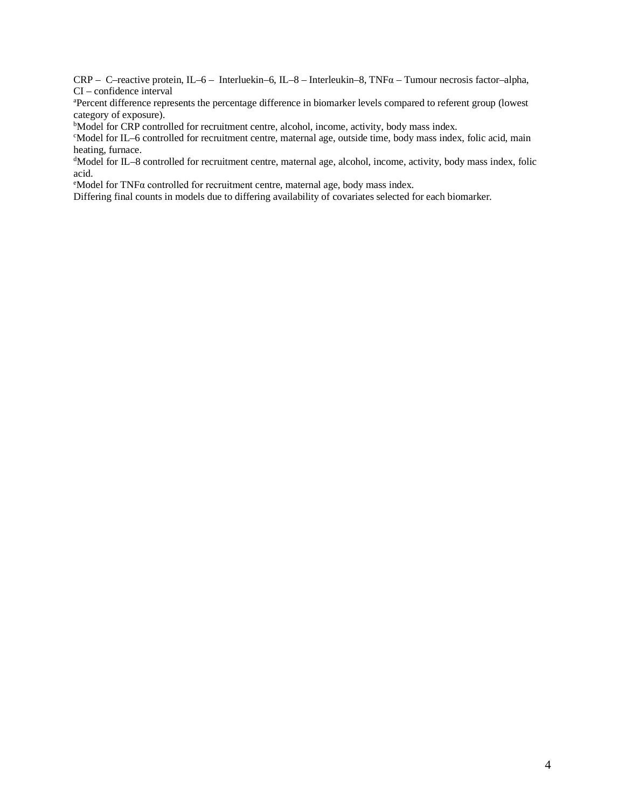CRP – C–reactive protein, IL–6 – Interluekin–6, IL–8 – Interleukin–8, TNF $\alpha$  – Tumour necrosis factor–alpha, CI – confidence interval

a Percent difference represents the percentage difference in biomarker levels compared to referent group (lowest category of exposure).

<sup>b</sup>Model for CRP controlled for recruitment centre, alcohol, income, activity, body mass index.

c Model for IL–6 controlled for recruitment centre, maternal age, outside time, body mass index, folic acid, main heating, furnace.

d Model for IL–8 controlled for recruitment centre, maternal age, alcohol, income, activity, body mass index, folic acid.

<sup>e</sup>Model for TNFα controlled for recruitment centre, maternal age, body mass index.

Differing final counts in models due to differing availability of covariates selected for each biomarker.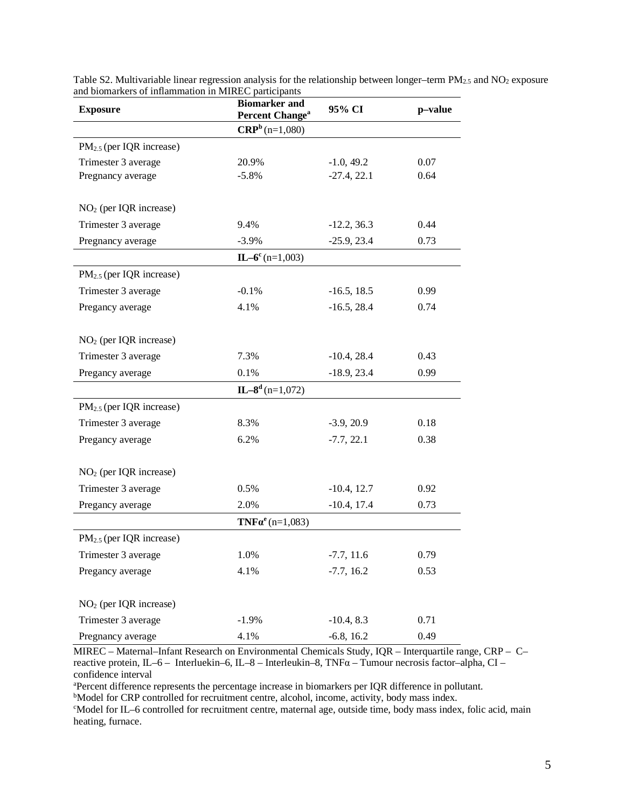| <b>Exposure</b>                      | <b>Biomarker and</b><br><b>Percent Change<sup>a</sup></b> | 95% CI         | p-value |
|--------------------------------------|-----------------------------------------------------------|----------------|---------|
|                                      | $CRPb$ (n=1,080)                                          |                |         |
| $PM_{2.5}$ (per IQR increase)        |                                                           |                |         |
| Trimester 3 average                  | 20.9%                                                     | $-1.0, 49.2$   | 0.07    |
| Pregnancy average                    | $-5.8\%$                                                  | $-27.4, 22.1$  | 0.64    |
| $NO2$ (per IQR increase)             |                                                           |                |         |
| Trimester 3 average                  | 9.4%                                                      | $-12.2, 36.3$  | 0.44    |
| Pregnancy average                    | $-3.9%$                                                   | $-25.9, 23.4$  | 0.73    |
|                                      | $IL-6^c$ (n=1,003)                                        |                |         |
| $PM_{2.5}$ (per IQR increase)        |                                                           |                |         |
| Trimester 3 average                  | $-0.1%$                                                   | $-16.5, 18.5$  | 0.99    |
| Pregancy average                     | 4.1%                                                      | $-16.5, 28.4$  | 0.74    |
| $NO2$ (per IQR increase)             |                                                           |                |         |
| Trimester 3 average                  | 7.3%                                                      | $-10.4, 28.4$  | 0.43    |
| Pregancy average                     | 0.1%                                                      | $-18.9, 23.4$  | 0.99    |
|                                      | $IL-8d$ (n=1,072)                                         |                |         |
| PM <sub>2.5</sub> (per IQR increase) |                                                           |                |         |
| Trimester 3 average                  | 8.3%                                                      | $-3.9, 20.9$   | 0.18    |
| Pregancy average                     | 6.2%                                                      | $-7.7, 22.1$   | 0.38    |
| $NO2$ (per IQR increase)             |                                                           |                |         |
| Trimester 3 average                  | 0.5%                                                      | $-10.4$ , 12.7 | 0.92    |
| Pregancy average                     | 2.0%                                                      | $-10.4$ , 17.4 | 0.73    |
|                                      | <b>TNF</b> $\alpha^{e}$ (n=1,083)                         |                |         |
| $PM_{2.5}$ (per IQR increase)        |                                                           |                |         |
| Trimester 3 average                  | 1.0%                                                      | $-7.7, 11.6$   | 0.79    |
| Pregancy average                     | 4.1%                                                      | $-7.7, 16.2$   | 0.53    |
| NO <sub>2</sub> (per IQR increase)   |                                                           |                |         |
| Trimester 3 average                  | $-1.9\%$                                                  | $-10.4, 8.3$   | 0.71    |
| Pregnancy average                    | 4.1%                                                      | $-6.8, 16.2$   | 0.49    |

Table S2. Multivariable linear regression analysis for the relationship between longer–term  $PM_{2.5}$  and  $NO_2$  exposure and biomarkers of inflammation in MIREC participants

MIREC – Maternal–Infant Research on Environmental Chemicals Study, IQR – Interquartile range, CRP – C– reactive protein, IL–6 – Interluekin–6, IL–8 – Interleukin–8, TNFα – Tumour necrosis factor–alpha, CI – confidence interval

a Percent difference represents the percentage increase in biomarkers per IQR difference in pollutant.

<sup>b</sup>Model for CRP controlled for recruitment centre, alcohol, income, activity, body mass index.

c Model for IL–6 controlled for recruitment centre, maternal age, outside time, body mass index, folic acid, main heating, furnace.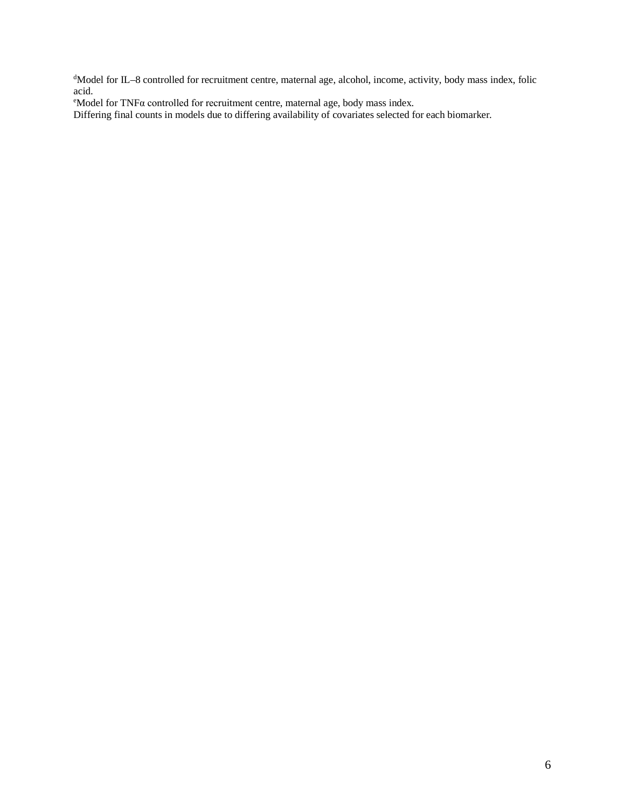d Model for IL–8 controlled for recruitment centre, maternal age, alcohol, income, activity, body mass index, folic acid.

<sup>e</sup>Model for TNFα controlled for recruitment centre, maternal age, body mass index.

Differing final counts in models due to differing availability of covariates selected for each biomarker.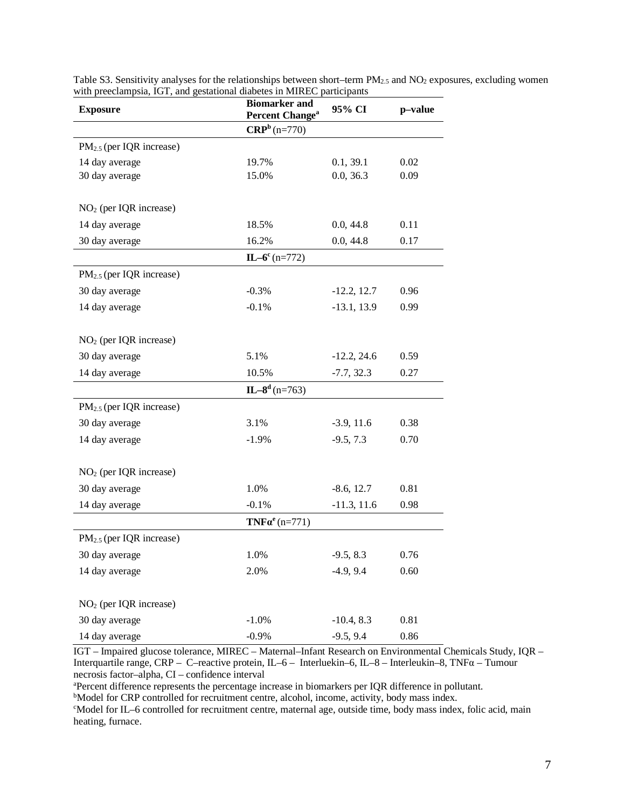| <b>Exposure</b>                      | <b>Biomarker and</b><br>Percent Change <sup>a</sup> | 95% CI        | p-value |  |
|--------------------------------------|-----------------------------------------------------|---------------|---------|--|
|                                      | $CRPb$ (n=770)                                      |               |         |  |
| $PM_{2.5}$ (per IQR increase)        |                                                     |               |         |  |
| 14 day average                       | 19.7%                                               | 0.1, 39.1     | 0.02    |  |
| 30 day average                       | 15.0%                                               | 0.0, 36.3     | 0.09    |  |
| NO <sub>2</sub> (per IQR increase)   |                                                     |               |         |  |
| 14 day average                       | 18.5%                                               | 0.0, 44.8     | 0.11    |  |
| 30 day average                       | 16.2%                                               | 0.0, 44.8     | 0.17    |  |
|                                      | $IL-6^c$ (n=772)                                    |               |         |  |
| $PM_{2.5}$ (per IQR increase)        |                                                     |               |         |  |
| 30 day average                       | $-0.3\%$                                            | $-12.2, 12.7$ | 0.96    |  |
| 14 day average                       | $-0.1%$                                             | $-13.1, 13.9$ | 0.99    |  |
| $NO2$ (per IQR increase)             |                                                     |               |         |  |
| 30 day average                       | 5.1%                                                | $-12.2, 24.6$ | 0.59    |  |
| 14 day average                       | 10.5%                                               | $-7.7, 32.3$  | 0.27    |  |
|                                      | $IL-8d$ (n=763)                                     |               |         |  |
| PM <sub>2.5</sub> (per IQR increase) |                                                     |               |         |  |
| 30 day average                       | 3.1%                                                | $-3.9, 11.6$  | 0.38    |  |
| 14 day average                       | $-1.9%$                                             | $-9.5, 7.3$   | 0.70    |  |
| $NO2$ (per IQR increase)             |                                                     |               |         |  |
| 30 day average                       | 1.0%                                                | $-8.6, 12.7$  | 0.81    |  |
| 14 day average                       | $-0.1%$                                             | $-11.3, 11.6$ | 0.98    |  |
|                                      | $TNF\alpha^{e}$ (n=771)                             |               |         |  |
| $PM_{2.5}$ (per IQR increase)        |                                                     |               |         |  |
| 30 day average                       | 1.0%                                                | $-9.5, 8.3$   | 0.76    |  |
| 14 day average                       | 2.0%                                                | $-4.9, 9.4$   | 0.60    |  |
| $NO2$ (per IQR increase)             |                                                     |               |         |  |
| 30 day average                       | $-1.0%$                                             | $-10.4, 8.3$  | 0.81    |  |
| 14 day average                       | $-0.9%$                                             | $-9.5, 9.4$   | 0.86    |  |

Table S3. Sensitivity analyses for the relationships between short–term  $PM_{2.5}$  and  $NO_2$  exposures, excluding women with preeclampsia, IGT, and gestational diabetes in MIREC participants

IGT – Impaired glucose tolerance, MIREC – Maternal–Infant Research on Environmental Chemicals Study, IQR – Interquartile range, CRP – C–reactive protein, IL–6 – Interluekin–6, IL–8 – Interleukin–8, TNFα – Tumour necrosis factor–alpha, CI – confidence interval

<sup>a</sup> Percent difference represents the percentage increase in biomarkers per IQR difference in pollutant.<br><sup>b</sup>Model for CRP controlled for recruitment centre, alcohol, income, activity, body mass index

<sup>b</sup>Model for CRP controlled for recruitment centre, alcohol, income, activity, body mass index.

c Model for IL–6 controlled for recruitment centre, maternal age, outside time, body mass index, folic acid, main heating, furnace.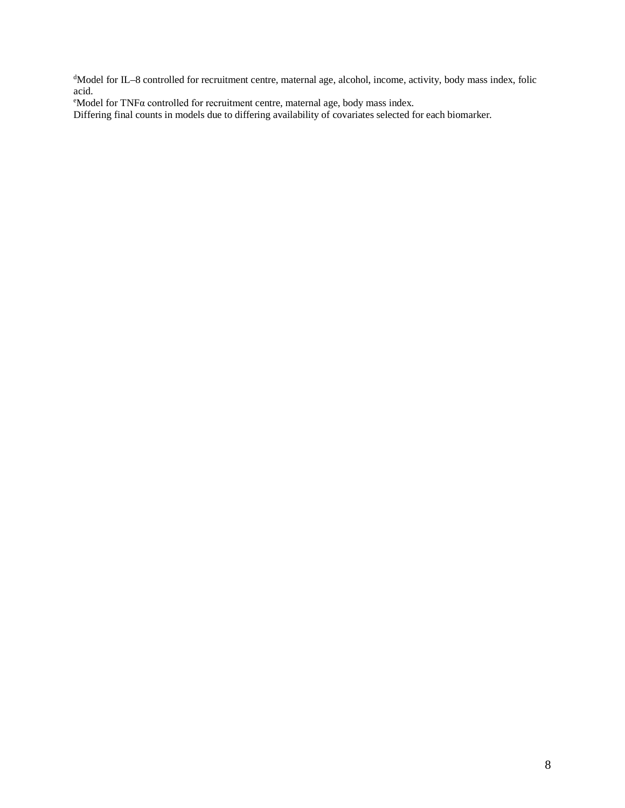d Model for IL–8 controlled for recruitment centre, maternal age, alcohol, income, activity, body mass index, folic acid.

<sup>e</sup>Model for TNFα controlled for recruitment centre, maternal age, body mass index.

Differing final counts in models due to differing availability of covariates selected for each biomarker.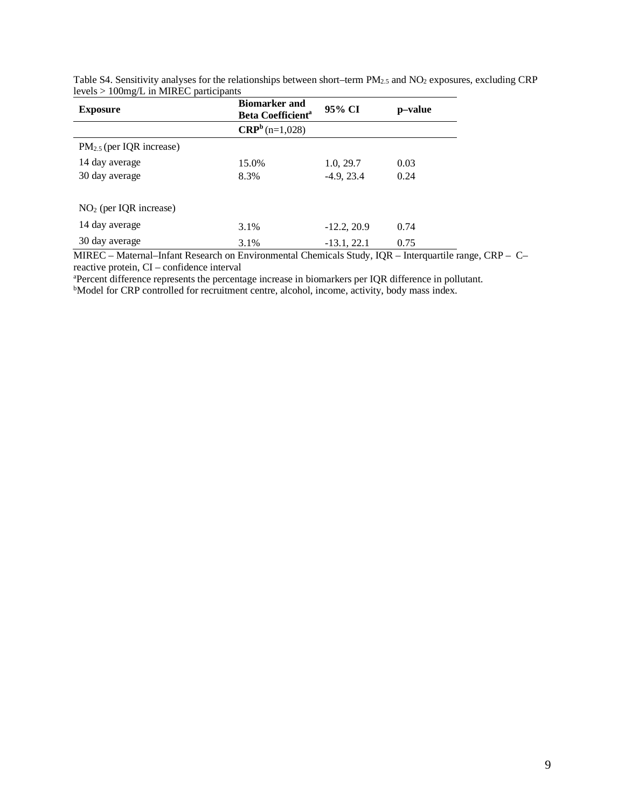| <b>Exposure</b>               | <b>Biomarker and</b><br><b>Beta Coefficient<sup>a</sup></b> | 95% CI        | p–value |
|-------------------------------|-------------------------------------------------------------|---------------|---------|
|                               | $CRPb$ (n=1,028)                                            |               |         |
| $PM_{2.5}$ (per IQR increase) |                                                             |               |         |
| 14 day average                | 15.0%                                                       | 1.0, 29.7     | 0.03    |
| 30 day average                | 8.3%                                                        | $-4.9, 23.4$  | 0.24    |
|                               |                                                             |               |         |
| $NO2$ (per IQR increase)      |                                                             |               |         |
| 14 day average                | 3.1%                                                        | $-12.2, 20.9$ | 0.74    |
| 30 day average                | 3.1%                                                        | $-13.1, 22.1$ | 0.75    |

Table S4. Sensitivity analyses for the relationships between short–term PM<sub>2.5</sub> and NO<sub>2</sub> exposures, excluding CRP levels > 100mg/L in MIREC participants

MIREC – Maternal–Infant Research on Environmental Chemicals Study, IQR – Interquartile range, CRP – C– reactive protein, CI – confidence interval

a Percent difference represents the percentage increase in biomarkers per IQR difference in pollutant.

<sup>b</sup>Model for CRP controlled for recruitment centre, alcohol, income, activity, body mass index.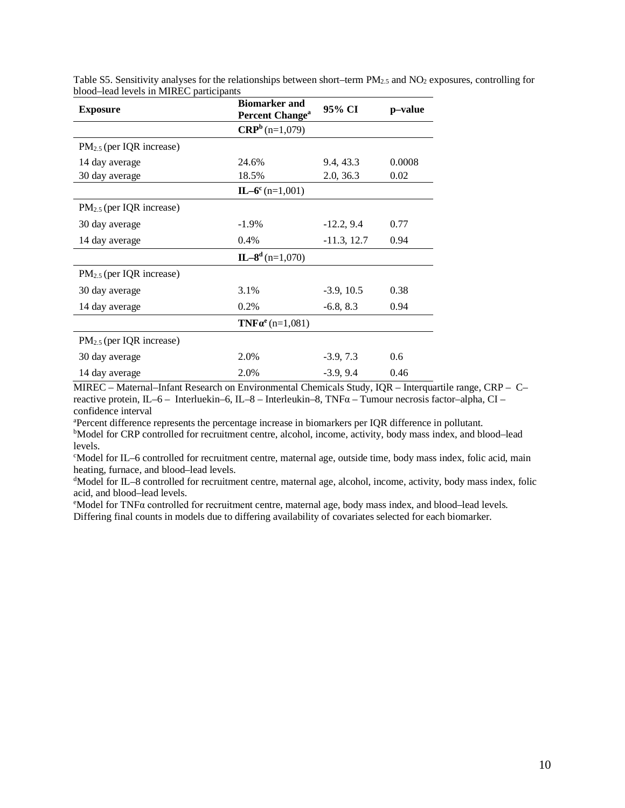| <b>Exposure</b>               | <b>Biomarker and</b><br>Percent Change <sup>a</sup> | 95% CI        | p-value |
|-------------------------------|-----------------------------------------------------|---------------|---------|
|                               | $CRPb$ (n=1,079)                                    |               |         |
| $PM_{2.5}$ (per IQR increase) |                                                     |               |         |
| 14 day average                | 24.6%                                               | 9.4, 43.3     | 0.0008  |
| 30 day average                | 18.5%                                               | 2.0, 36.3     | 0.02    |
|                               | $IL-6^c$ (n=1,001)                                  |               |         |
| $PM_{2.5}$ (per IQR increase) |                                                     |               |         |
| 30 day average                | $-1.9\%$                                            | $-12.2, 9.4$  | 0.77    |
| 14 day average                | 0.4%                                                | $-11.3, 12.7$ | 0.94    |
|                               | $IL-8d$ (n=1,070)                                   |               |         |
| $PM_{2.5}$ (per IQR increase) |                                                     |               |         |
| 30 day average                | 3.1%                                                | $-3.9, 10.5$  | 0.38    |
| 14 day average                | 0.2%                                                | $-6.8, 8.3$   | 0.94    |
|                               | $TNF\alpha^{e}$ (n=1,081)                           |               |         |
| $PM_{2.5}$ (per IQR increase) |                                                     |               |         |
| 30 day average                | 2.0%                                                | $-3.9, 7.3$   | 0.6     |
| 14 day average                | 2.0%                                                | $-3.9, 9.4$   | 0.46    |

Table S5. Sensitivity analyses for the relationships between short–term  $PM_{2.5}$  and  $NO_2$  exposures, controlling for blood–lead levels in MIREC participants

MIREC – Maternal–Infant Research on Environmental Chemicals Study, IQR – Interquartile range, CRP – C– reactive protein, IL–6 – Interluekin–6, IL–8 – Interleukin–8, TNFα – Tumour necrosis factor–alpha, CI – confidence interval

<sup>a</sup> Percent difference represents the percentage increase in biomarkers per IQR difference in pollutant.<br><sup>b</sup>Model for CRP controlled for recruitment centre, alcohol, income, activity, body mass index, and bl

bModel for CRP controlled for recruitment centre, alcohol, income, activity, body mass index, and blood-lead levels.

c Model for IL–6 controlled for recruitment centre, maternal age, outside time, body mass index, folic acid, main heating, furnace, and blood–lead levels.

d Model for IL–8 controlled for recruitment centre, maternal age, alcohol, income, activity, body mass index, folic acid, and blood-lead levels.

<sup>e</sup>Model for TNFα controlled for recruitment centre, maternal age, body mass index, and blood–lead levels. Differing final counts in models due to differing availability of covariates selected for each biomarker.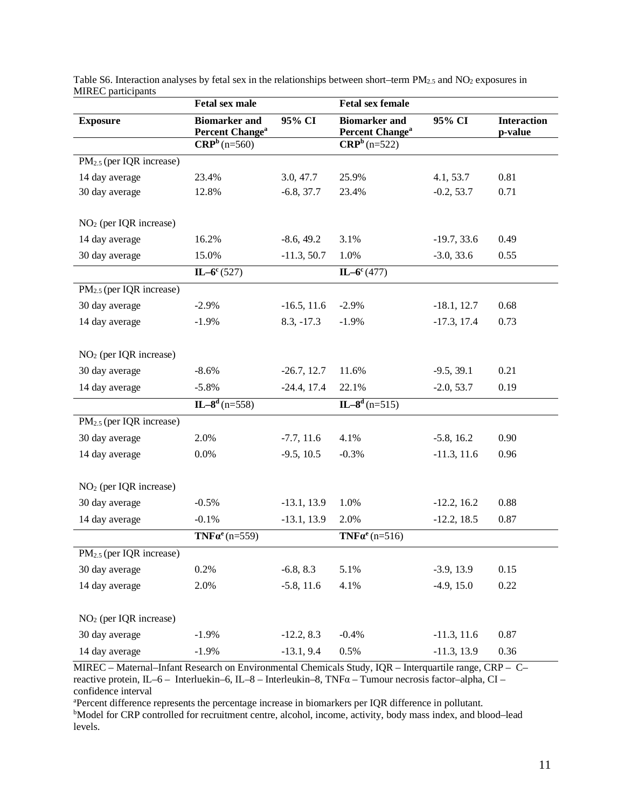|                                      | <b>Fetal sex male</b>                               |               | <b>Fetal sex female</b>                             |               |                               |
|--------------------------------------|-----------------------------------------------------|---------------|-----------------------------------------------------|---------------|-------------------------------|
| <b>Exposure</b>                      | <b>Biomarker</b> and<br>Percent Change <sup>a</sup> | 95% CI        | <b>Biomarker</b> and<br>Percent Change <sup>a</sup> | 95% CI        | <b>Interaction</b><br>p-value |
|                                      | $CRPb$ (n=560)                                      |               | $CRPb$ (n=522)                                      |               |                               |
| $PM_{2.5}$ (per IQR increase)        |                                                     |               |                                                     |               |                               |
| 14 day average                       | 23.4%                                               | 3.0, 47.7     | 25.9%                                               | 4.1, 53.7     | 0.81                          |
| 30 day average                       | 12.8%                                               | $-6.8, 37.7$  | 23.4%                                               | $-0.2, 53.7$  | 0.71                          |
|                                      |                                                     |               |                                                     |               |                               |
| $NO2$ (per IQR increase)             |                                                     |               |                                                     |               |                               |
| 14 day average                       | 16.2%                                               | $-8.6, 49.2$  | 3.1%                                                | $-19.7, 33.6$ | 0.49                          |
| 30 day average                       | 15.0%                                               | $-11.3, 50.7$ | 1.0%                                                | $-3.0, 33.6$  | 0.55                          |
|                                      | $IL-6^c(527)$                                       |               | $IL-6^c(477)$                                       |               |                               |
| PM <sub>2.5</sub> (per IQR increase) |                                                     |               |                                                     |               |                               |
| 30 day average                       | $-2.9%$                                             | $-16.5, 11.6$ | $-2.9%$                                             | $-18.1, 12.7$ | 0.68                          |
| 14 day average                       | $-1.9%$                                             | $8.3, -17.3$  | $-1.9%$                                             | $-17.3, 17.4$ | 0.73                          |
|                                      |                                                     |               |                                                     |               |                               |
| NO <sub>2</sub> (per IQR increase)   |                                                     |               |                                                     |               |                               |
| 30 day average                       | $-8.6%$                                             | $-26.7, 12.7$ | 11.6%                                               | $-9.5, 39.1$  | 0.21                          |
| 14 day average                       | $-5.8%$                                             | $-24.4, 17.4$ | 22.1%                                               | $-2.0, 53.7$  | 0.19                          |
|                                      | $IL-8d$ (n=558)                                     |               | $\overline{IL-8^d(n=515)}$                          |               |                               |
| $PM_{2.5}$ (per IQR increase)        |                                                     |               |                                                     |               |                               |
| 30 day average                       | 2.0%                                                | $-7.7, 11.6$  | 4.1%                                                | $-5.8, 16.2$  | 0.90                          |
| 14 day average                       | 0.0%                                                | $-9.5, 10.5$  | $-0.3%$                                             | $-11.3, 11.6$ | 0.96                          |
|                                      |                                                     |               |                                                     |               |                               |
| $NO2$ (per IQR increase)             |                                                     |               |                                                     |               |                               |
| 30 day average                       | $-0.5%$                                             | $-13.1, 13.9$ | 1.0%                                                | $-12.2, 16.2$ | 0.88                          |
| 14 day average                       | $-0.1%$                                             | $-13.1, 13.9$ | 2.0%                                                | $-12.2, 18.5$ | 0.87                          |
|                                      | $TNF\alpha^{e}$ (n=559)                             |               | $TNF\alpha^{e}$ (n=516)                             |               |                               |
| PM <sub>2.5</sub> (per IQR increase) |                                                     |               |                                                     |               |                               |
| 30 day average                       | 0.2%                                                | $-6.8, 8.3$   | 5.1%                                                | $-3.9, 13.9$  | 0.15                          |
| 14 day average                       | 2.0%                                                | $-5.8, 11.6$  | 4.1%                                                | $-4.9, 15.0$  | 0.22                          |
|                                      |                                                     |               |                                                     |               |                               |
| $NO2$ (per IQR increase)             |                                                     |               |                                                     |               |                               |
| 30 day average                       | $-1.9\%$                                            | $-12.2, 8.3$  | $-0.4%$                                             | $-11.3, 11.6$ | 0.87                          |
| 14 day average                       | $-1.9%$                                             | $-13.1, 9.4$  | 0.5%                                                | $-11.3, 13.9$ | 0.36                          |

Table S6. Interaction analyses by fetal sex in the relationships between short–term PM<sub>2.5</sub> and NO<sub>2</sub> exposures in MIREC participants

MIREC – Maternal–Infant Research on Environmental Chemicals Study, IQR – Interquartile range, CRP – C– reactive protein, IL–6 – Interluekin–6, IL–8 – Interleukin–8, TNFα – Tumour necrosis factor–alpha, CI – confidence interval

a Percent difference represents the percentage increase in biomarkers per IQR difference in pollutant. b Model for CRP controlled for recruitment centre, alcohol, income, activity, body mass index, and blood–lead levels.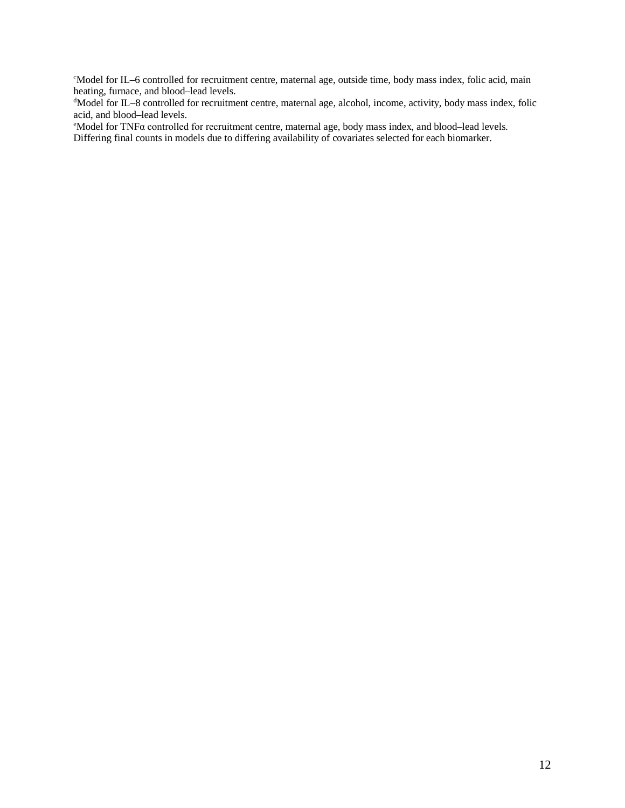c Model for IL–6 controlled for recruitment centre, maternal age, outside time, body mass index, folic acid, main heating, furnace, and blood–lead levels.

d Model for IL–8 controlled for recruitment centre, maternal age, alcohol, income, activity, body mass index, folic

acid, and blood–lead levels.<br>°Model for TNFα controlled for recruitment centre, maternal age, body mass index, and blood–lead levels. Differing final counts in models due to differing availability of covariates selected for each biomarker.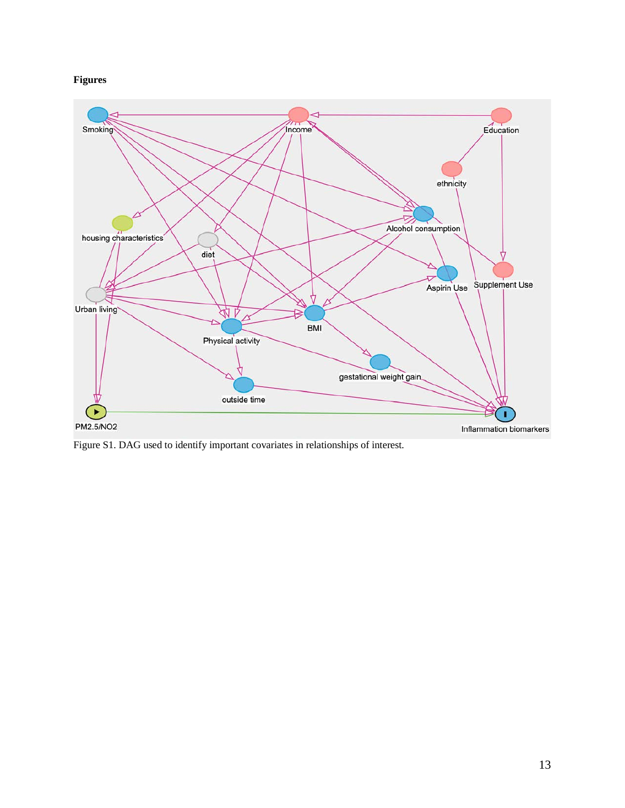**Figures**



Figure S1. DAG used to identify important covariates in relationships of interest.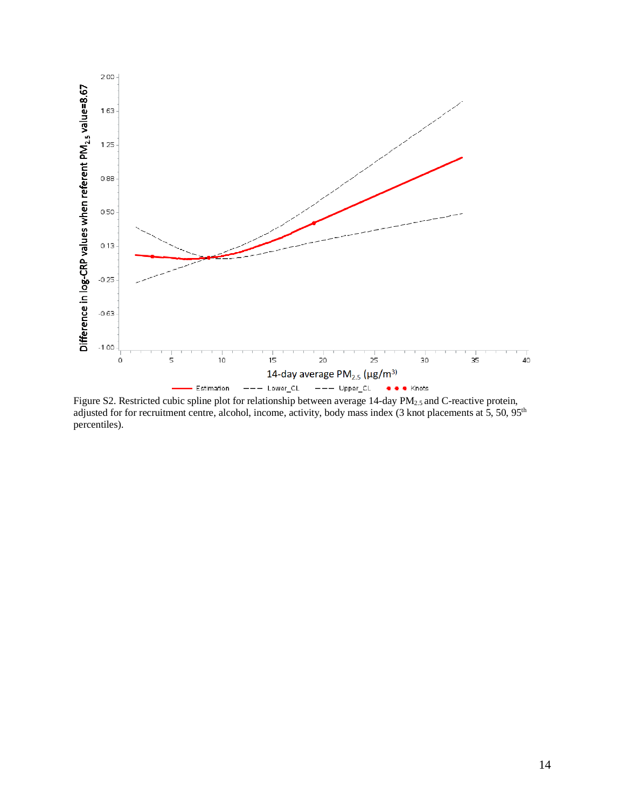

Figure S2. Restricted cubic spline plot for relationship between average 14-day PM<sub>2.5</sub> and C-reactive protein, adjusted for for recruitment centre, alcohol, income, activity, body mass index (3 knot placements at 5, 50, 95<sup>th</sup> percentiles).